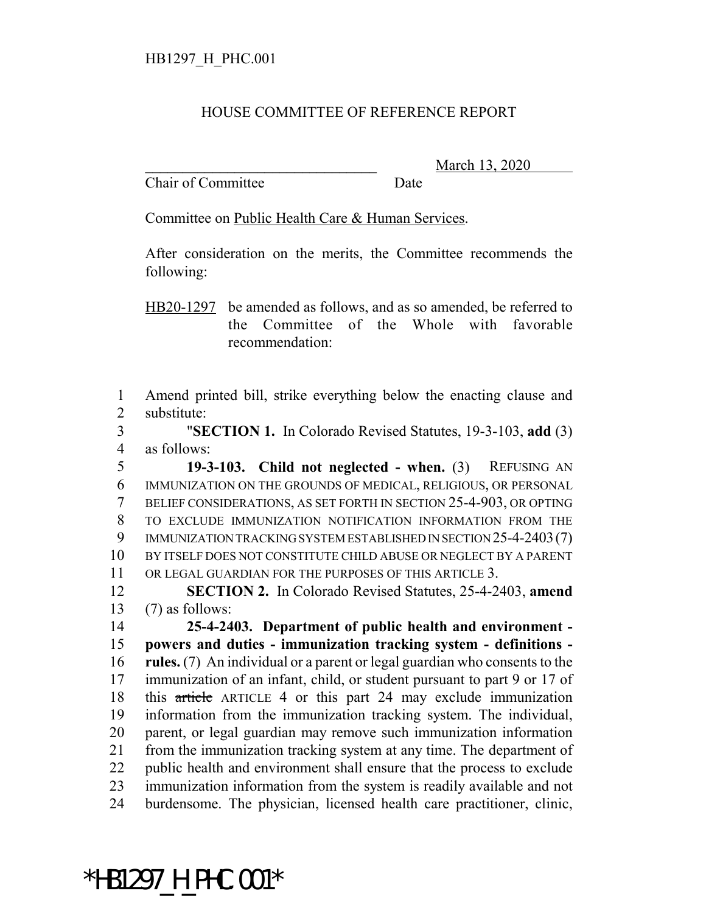## HOUSE COMMITTEE OF REFERENCE REPORT

Chair of Committee Date

\_\_\_\_\_\_\_\_\_\_\_\_\_\_\_\_\_\_\_\_\_\_\_\_\_\_\_\_\_\_\_ March 13, 2020

Committee on Public Health Care & Human Services.

After consideration on the merits, the Committee recommends the following:

HB20-1297 be amended as follows, and as so amended, be referred to the Committee of the Whole with favorable recommendation:

 Amend printed bill, strike everything below the enacting clause and substitute:

 "**SECTION 1.** In Colorado Revised Statutes, 19-3-103, **add** (3) as follows:

 **19-3-103. Child not neglected - when.** (3) REFUSING AN IMMUNIZATION ON THE GROUNDS OF MEDICAL, RELIGIOUS, OR PERSONAL BELIEF CONSIDERATIONS, AS SET FORTH IN SECTION 25-4-903, OR OPTING TO EXCLUDE IMMUNIZATION NOTIFICATION INFORMATION FROM THE IMMUNIZATION TRACKING SYSTEM ESTABLISHED IN SECTION 25-4-2403(7) BY ITSELF DOES NOT CONSTITUTE CHILD ABUSE OR NEGLECT BY A PARENT OR LEGAL GUARDIAN FOR THE PURPOSES OF THIS ARTICLE 3.

 **SECTION 2.** In Colorado Revised Statutes, 25-4-2403, **amend** 13  $(7)$  as follows:

 **25-4-2403. Department of public health and environment - powers and duties - immunization tracking system - definitions - rules.** (7) An individual or a parent or legal guardian who consents to the immunization of an infant, child, or student pursuant to part 9 or 17 of this article ARTICLE 4 or this part 24 may exclude immunization information from the immunization tracking system. The individual, parent, or legal guardian may remove such immunization information from the immunization tracking system at any time. The department of public health and environment shall ensure that the process to exclude immunization information from the system is readily available and not burdensome. The physician, licensed health care practitioner, clinic,

\*HB1297\_H\_PHC.001\*